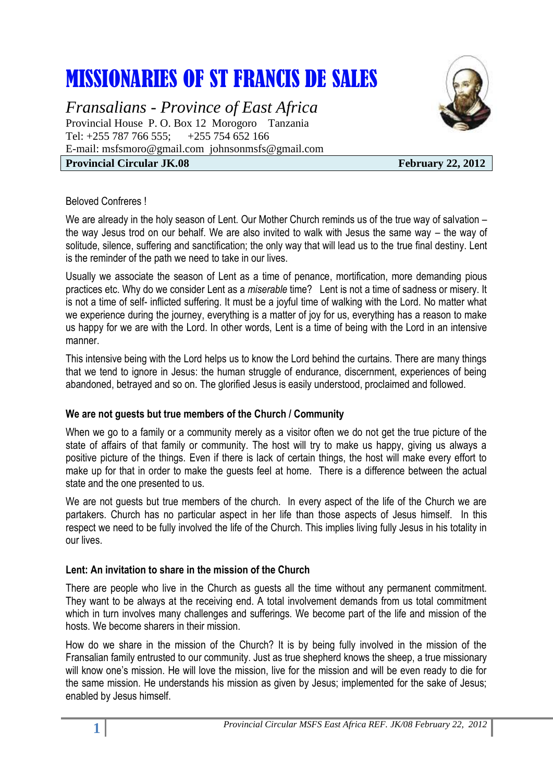# MISSIONARIES OF ST FRANCIS DE SALES

*Fransalians - Province of East Africa* Provincial House P. O. Box 12 Morogoro Tanzania Tel: +255 787 766 555; +255 754 652 166 E-mail: [msfsmoro@gmail.com](mailto:msfsmoro@gmail.com) johnsonmsfs@gmail.com **Provincial Circular JK.08** February 22, 2012



#### Beloved Confreres !

We are already in the holy season of Lent. Our Mother Church reminds us of the true way of salvation – the way Jesus trod on our behalf. We are also invited to walk with Jesus the same way – the way of solitude, silence, suffering and sanctification; the only way that will lead us to the true final destiny. Lent is the reminder of the path we need to take in our lives.

Usually we associate the season of Lent as a time of penance, mortification, more demanding pious practices etc. Why do we consider Lent as a *miserable* time? Lent is not a time of sadness or misery. It is not a time of self- inflicted suffering. It must be a joyful time of walking with the Lord. No matter what we experience during the journey, everything is a matter of joy for us, everything has a reason to make us happy for we are with the Lord. In other words, Lent is a time of being with the Lord in an intensive manner.

This intensive being with the Lord helps us to know the Lord behind the curtains. There are many things that we tend to ignore in Jesus: the human struggle of endurance, discernment, experiences of being abandoned, betrayed and so on. The glorified Jesus is easily understood, proclaimed and followed.

## **We are not guests but true members of the Church / Community**

When we go to a family or a community merely as a visitor often we do not get the true picture of the state of affairs of that family or community. The host will try to make us happy, giving us always a positive picture of the things. Even if there is lack of certain things, the host will make every effort to make up for that in order to make the guests feel at home. There is a difference between the actual state and the one presented to us.

We are not guests but true members of the church. In every aspect of the life of the Church we are partakers. Church has no particular aspect in her life than those aspects of Jesus himself. In this respect we need to be fully involved the life of the Church. This implies living fully Jesus in his totality in our lives.

## **Lent: An invitation to share in the mission of the Church**

There are people who live in the Church as guests all the time without any permanent commitment. They want to be always at the receiving end. A total involvement demands from us total commitment which in turn involves many challenges and sufferings. We become part of the life and mission of the hosts. We become sharers in their mission.

How do we share in the mission of the Church? It is by being fully involved in the mission of the Fransalian family entrusted to our community. Just as true shepherd knows the sheep, a true missionary will know one's mission. He will love the mission, live for the mission and will be even ready to die for the same mission. He understands his mission as given by Jesus; implemented for the sake of Jesus; enabled by Jesus himself.